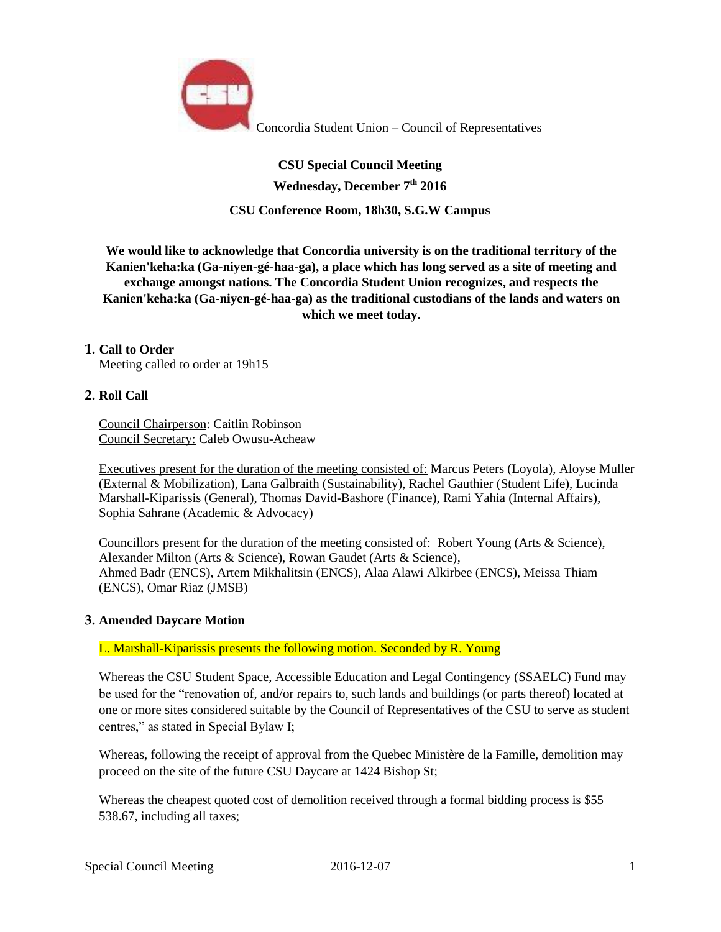

Concordia Student Union – Council of Representatives

**CSU Special Council Meeting Wednesday, December 7th 2016 CSU Conference Room, 18h30, S.G.W Campus** 

**We would like to acknowledge that Concordia university is on the traditional territory of the Kanien'keha:ka (Ga-niyen-gé-haa-ga), a place which has long served as a site of meeting and exchange amongst nations. The Concordia Student Union recognizes, and respects the Kanien'keha:ka (Ga-niyen-gé-haa-ga) as the traditional custodians of the lands and waters on which we meet today.**

## **1. Call to Order**

Meeting called to order at 19h15

### **2. Roll Call**

Council Chairperson: Caitlin Robinson Council Secretary: Caleb Owusu-Acheaw

Executives present for the duration of the meeting consisted of: Marcus Peters (Loyola), Aloyse Muller (External & Mobilization), Lana Galbraith (Sustainability), Rachel Gauthier (Student Life), Lucinda Marshall-Kiparissis (General), Thomas David-Bashore (Finance), Rami Yahia (Internal Affairs), Sophia Sahrane (Academic & Advocacy)

Councillors present for the duration of the meeting consisted of: Robert Young (Arts & Science), Alexander Milton (Arts & Science), Rowan Gaudet (Arts & Science), Ahmed Badr (ENCS), Artem Mikhalitsin (ENCS), Alaa Alawi Alkirbee (ENCS), Meissa Thiam (ENCS), Omar Riaz (JMSB)

#### **3. Amended Daycare Motion**

## L. Marshall-Kiparissis presents the following motion. Seconded by R. Young

Whereas the CSU Student Space, Accessible Education and Legal Contingency (SSAELC) Fund may be used for the "renovation of, and/or repairs to, such lands and buildings (or parts thereof) located at one or more sites considered suitable by the Council of Representatives of the CSU to serve as student centres," as stated in Special Bylaw I;

Whereas, following the receipt of approval from the Quebec Ministère de la Famille, demolition may proceed on the site of the future CSU Daycare at 1424 Bishop St;

Whereas the cheapest quoted cost of demolition received through a formal bidding process is \$55 538.67, including all taxes;